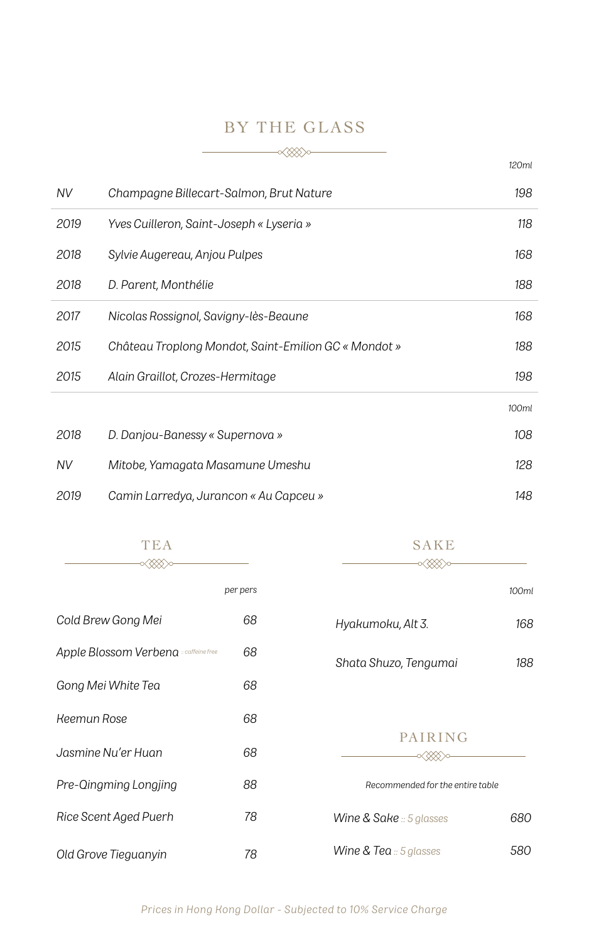## BY THE GLASS

|      |                                                      | 120ml |
|------|------------------------------------------------------|-------|
| NV.  | Champagne Billecart-Salmon, Brut Nature              | 198   |
| 2019 | Yves Cuilleron, Saint-Joseph « Lyseria »             | 118   |
| 2018 | Sylvie Augereau, Anjou Pulpes                        | 168   |
| 2018 | D. Parent, Monthélie                                 | 188   |
| 2017 | Nicolas Rossignol, Savigny-lès-Beaune                | 168   |
| 2015 | Château Troplong Mondot, Saint-Emilion GC « Mondot » | 188   |
| 2015 | Alain Graillot, Crozes-Hermitage                     | 198   |
|      |                                                      | 100ml |
| 2018 | D. Danjou-Banessy « Supernova »                      | 108   |
| NV   | Mitobe, Yamagata Masamune Umeshu                     | 128   |
| 2019 | Camin Larredya, Jurancon « Au Capceu »               | 148   |

| TEA<br>(XXX) c                        |          | SAKE                                  |       |
|---------------------------------------|----------|---------------------------------------|-------|
|                                       | per pers |                                       | 100ml |
| Cold Brew Gong Mei                    | 68       | Hyakumoku, Alt 3.                     | 168   |
| Apple Blossom Verbena = caffeine free | 68       | Shata Shuzo, Tengumai                 | 188   |
| Gong Mei White Tea                    | 68       |                                       |       |
| <b>Keemun Rose</b>                    | 68       |                                       |       |
| Jasmine Nu'er Huan                    | 68       | PAIRING                               |       |
| Pre-Qingming Longjing                 | 88       | Recommended for the entire table      |       |
| Rice Scent Aged Puerh                 | 78       | <b>Wine &amp; Sake</b> $::$ 5 glasses | 680   |
| Old Grove Tieguanyin                  | 78       | <b>Wine &amp; Tea</b> $:$ 5 glasses   | 580   |

*Prices in Hong Kong Dollar - Subjected to 10% Service Charge*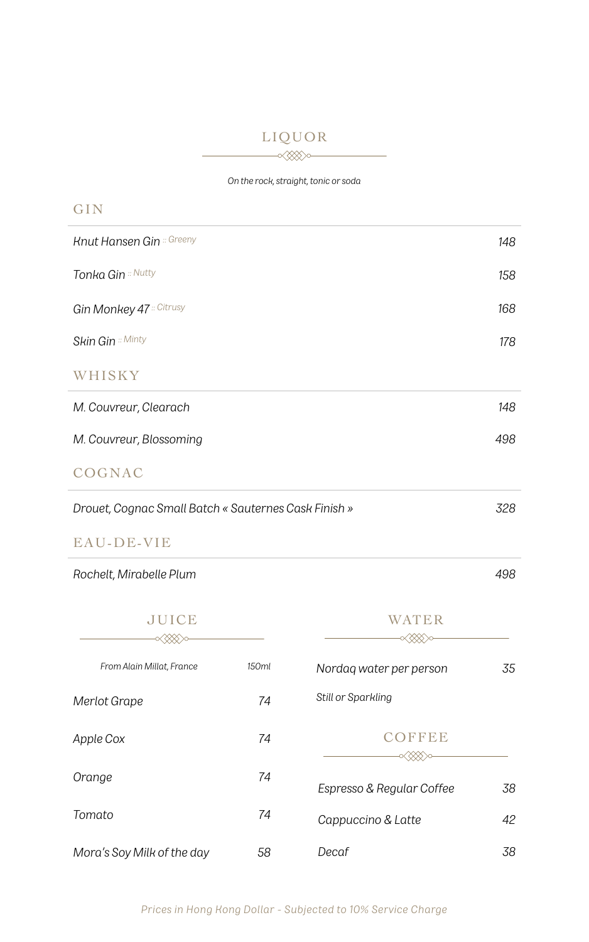### LIQUOR

 $-\alpha x$ 

*On the rock, straight, tonic or soda*

| GIN                                                  |     |
|------------------------------------------------------|-----|
| <b>Knut Hansen Gin</b> :: Greeny                     | 148 |
| Tonka Gin :: Nutty                                   | 158 |
| Gin Monkey 47 :: Citrusy                             | 168 |
| <b>Skin Gin</b> :: Minty                             | 178 |
| WHISKY                                               |     |
| M. Couvreur, Clearach                                | 148 |
| M. Couvreur, Blossoming                              | 498 |
| COGNAC                                               |     |
| Drouet, Cognac Small Batch « Sauternes Cask Finish » | 328 |

#### EAU-DE-VIE

*Rochelt, Mirabelle Plum 498*

| <b>JUICE</b>               |       | WATER                     |    |
|----------------------------|-------|---------------------------|----|
| From Alain Millat, France  | 150ml | Nordag water per person   | 35 |
| Merlot Grape               | 74    | Still or Sparkling        |    |
| Apple Cox                  | 74    | <b>COFFEE</b>             |    |
| Orange                     | 74    | Espresso & Regular Coffee | 38 |
| Tomato                     | 74    | Cappuccino & Latte        | 42 |
| Mora's Soy Milk of the day | 58    | Decaf                     | 38 |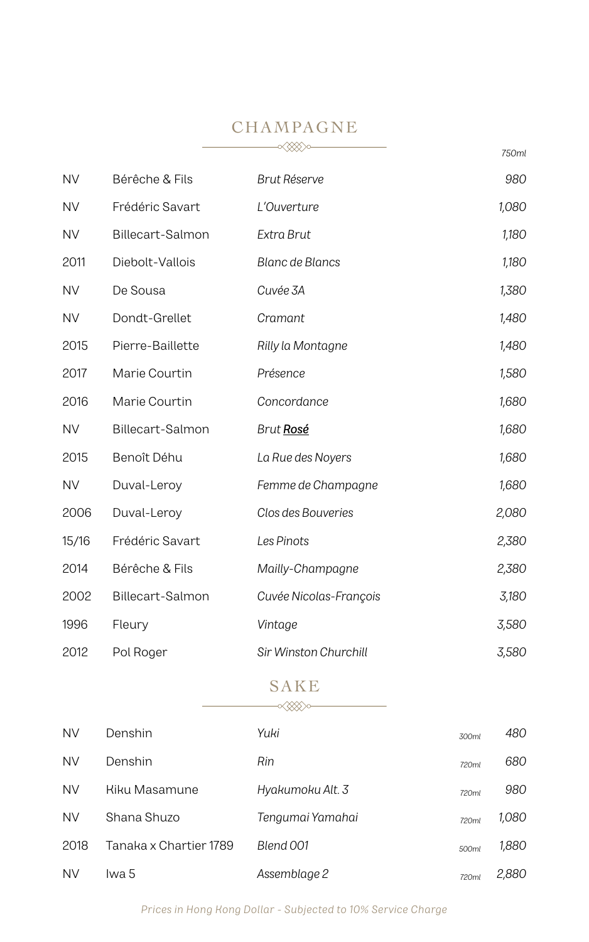# CHAMPAGNE

|           |                  |                        | 750ml |
|-----------|------------------|------------------------|-------|
| <b>NV</b> | Bérêche & Fils   | Brut Réserve           | 980   |
| NV        | Frédéric Savart  | L'Ouverture            | 1,080 |
| <b>NV</b> | Billecart-Salmon | Extra Brut             | 1,180 |
| 2011      | Diebolt-Vallois  | <b>Blanc de Blancs</b> | 1,180 |
| <b>NV</b> | De Sousa         | Cuvée 3A               | 1,380 |
| <b>NV</b> | Dondt-Grellet    | Cramant                | 1,480 |
| 2015      | Pierre-Baillette | Rilly la Montagne      | 1,480 |
| 2017      | Marie Courtin    | Présence               | 1,580 |
| 2016      | Marie Courtin    | Concordance            | 1,680 |
| <b>NV</b> | Billecart-Salmon | Brut Rosé              | 1,680 |
| 2015      | Benoît Déhu      | La Rue des Noyers      | 1,680 |
| <b>NV</b> | Duval-Leroy      | Femme de Champagne     | 1,680 |
| 2006      | Duval-Leroy      | Clos des Bouveries     | 2,080 |
| 15/16     | Frédéric Savart  | Les Pinots             | 2,380 |
| 2014      | Bérêche & Fils   | Mailly-Champagne       | 2,380 |
| 2002      | Billecart-Salmon | Cuvée Nicolas-François | 3,180 |
| 1996      | Fleury           | Vintage                | 3,580 |
| 2012      | Pol Roger        | Sir Winston Churchill  | 3,580 |

### SAKE  $\begin{picture}(150,10) \put(0,0){\line(1,0){100}} \put(15,0){\line(1,0){100}} \put(15,0){\line(1,0){100}} \put(15,0){\line(1,0){100}} \put(15,0){\line(1,0){100}} \put(15,0){\line(1,0){100}} \put(15,0){\line(1,0){100}} \put(15,0){\line(1,0){100}} \put(15,0){\line(1,0){100}} \put(15,0){\line(1,0){100}} \put(15,0){\line(1,0){100}}$

| <b>NV</b> | Denshin                | Yuki             | 300ml | 480   |
|-----------|------------------------|------------------|-------|-------|
| <b>NV</b> | Denshin                | Rin              | 720ml | 680   |
| <b>NV</b> | Kiku Masamune          | Hyakumoku Alt. 3 | 720ml | 980   |
| <b>NV</b> | Shana Shuzo            | Tengumai Yamahai | 720ml | 1,080 |
| 2018      | Tanaka x Chartier 1789 | Blend 001        | 500ml | 1,880 |
| <b>NV</b> | lwa 5                  | Assemblage 2     | 720ml | 2,880 |

*Prices in Hong Kong Dollar - Subjected to 10% Service Charge*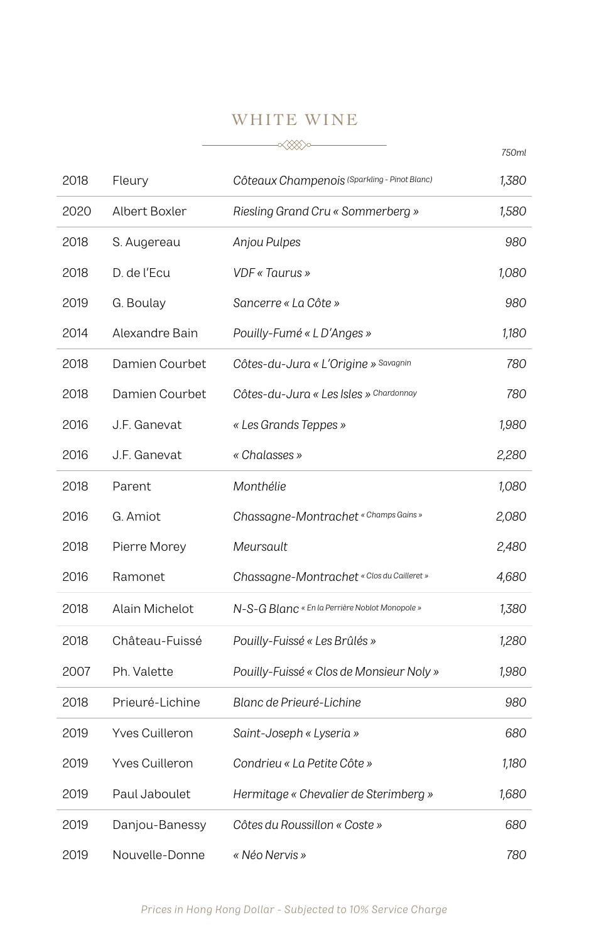### WHITE WINE

|      |                       |                                                | 750ml |
|------|-----------------------|------------------------------------------------|-------|
| 2018 | Fleury                | Côteaux Champenois (Sparkling - Pinot Blanc)   | 1,380 |
| 2020 | Albert Boxler         | Riesling Grand Cru « Sommerberg »              | 1,580 |
| 2018 | S. Augereau           | Anjou Pulpes                                   | 980   |
| 2018 | D. de l'Ecu           | VDF « Taurus »                                 | 1,080 |
| 2019 | G. Boulay             | Sancerre « La Côte »                           | 980   |
| 2014 | Alexandre Bain        | Pouilly-Fumé « L D'Anges »                     | 1,180 |
| 2018 | Damien Courbet        | Côtes-du-Jura « L'Origine » Savagnin           | 780   |
| 2018 | Damien Courbet        | Côtes-du-Jura « Les Isles » Chardonnay         | 780   |
| 2016 | J.F. Ganevat          | « Les Grands Teppes »                          | 1,980 |
| 2016 | J.F. Ganevat          | « Chalasses »                                  | 2,280 |
| 2018 | Parent                | Monthélie                                      | 1,080 |
| 2016 | G. Amiot              | Chassagne-Montrachet « Champs Gains »          | 2,080 |
| 2018 | Pierre Morey          | Meursault                                      | 2,480 |
| 2016 | Ramonet               | Chassagne-Montrachet « Clos du Cailleret »     | 4,680 |
| 2018 | Alain Michelot        | N-S-G Blanc « En la Perrière Noblot Monopole » | 1,380 |
| 2018 | Château-Fuissé        | Pouilly-Fuissé « Les Brûlés »                  | 1,280 |
| 2007 | Ph. Valette           | Pouilly-Fuissé « Clos de Monsieur Noly »       | 1,980 |
| 2018 | Prieuré-Lichine       | Blanc de Prieuré-Lichine                       | 980   |
| 2019 | Yves Cuilleron        | Saint-Joseph « Lyseria »                       | 680   |
| 2019 | <b>Yves Cuilleron</b> | Condrieu « La Petite Côte »                    | 1,180 |
| 2019 | Paul Jaboulet         | Hermitage « Chevalier de Sterimberg »          | 1,680 |
| 2019 | Danjou-Banessy        | Côtes du Roussillon « Coste »                  | 680   |
| 2019 | Nouvelle-Donne        | « Néo Nervis »                                 | 780   |